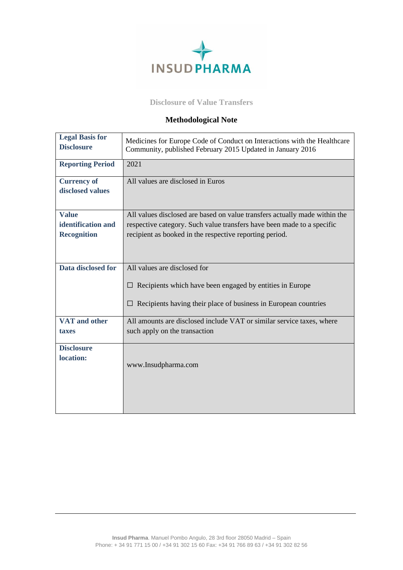

## **Disclosure of Value Transfers**

## **Methodological Note**

| <b>Legal Basis for</b><br><b>Disclosure</b> | Medicines for Europe Code of Conduct on Interactions with the Healthcare<br>Community, published February 2015 Updated in January 2016 |
|---------------------------------------------|----------------------------------------------------------------------------------------------------------------------------------------|
| <b>Reporting Period</b>                     | 2021                                                                                                                                   |
| <b>Currency of</b>                          | All values are disclosed in Euros                                                                                                      |
| disclosed values                            |                                                                                                                                        |
| <b>Value</b>                                | All values disclosed are based on value transfers actually made within the                                                             |
| identification and                          | respective category. Such value transfers have been made to a specific                                                                 |
| <b>Recognition</b>                          | recipient as booked in the respective reporting period.                                                                                |
|                                             |                                                                                                                                        |
| Data disclosed for                          | All values are disclosed for                                                                                                           |
|                                             | $\Box$ Recipients which have been engaged by entities in Europe                                                                        |
|                                             | Recipients having their place of business in European countries                                                                        |
| VAT and other                               | All amounts are disclosed include VAT or similar service taxes, where                                                                  |
| taxes                                       | such apply on the transaction                                                                                                          |
| <b>Disclosure</b>                           |                                                                                                                                        |
| location:                                   |                                                                                                                                        |
|                                             | www.Insudpharma.com                                                                                                                    |
|                                             |                                                                                                                                        |
|                                             |                                                                                                                                        |
|                                             |                                                                                                                                        |
|                                             |                                                                                                                                        |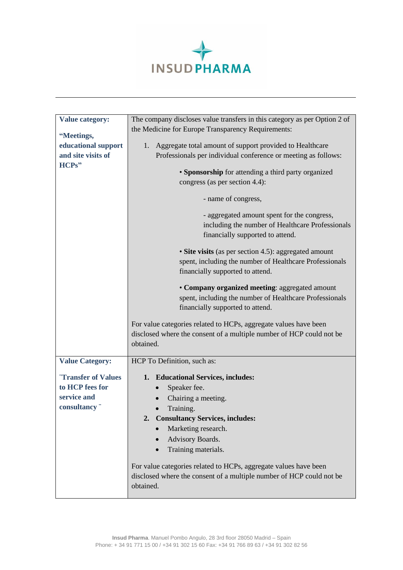

| <b>Value category:</b>            | The company discloses value transfers in this category as per Option 2 of                                                     |
|-----------------------------------|-------------------------------------------------------------------------------------------------------------------------------|
|                                   | the Medicine for Europe Transparency Requirements:                                                                            |
| "Meetings,<br>educational support |                                                                                                                               |
| and site visits of                | 1. Aggregate total amount of support provided to Healthcare<br>Professionals per individual conference or meeting as follows: |
| HCPs"                             |                                                                                                                               |
|                                   | • Sponsorship for attending a third party organized                                                                           |
|                                   | congress (as per section 4.4):                                                                                                |
|                                   |                                                                                                                               |
|                                   | - name of congress,                                                                                                           |
|                                   | - aggregated amount spent for the congress,                                                                                   |
|                                   | including the number of Healthcare Professionals                                                                              |
|                                   | financially supported to attend.                                                                                              |
|                                   | • Site visits (as per section 4.5): aggregated amount                                                                         |
|                                   | spent, including the number of Healthcare Professionals                                                                       |
|                                   | financially supported to attend.                                                                                              |
|                                   | • Company organized meeting: aggregated amount                                                                                |
|                                   | spent, including the number of Healthcare Professionals                                                                       |
|                                   | financially supported to attend.                                                                                              |
|                                   |                                                                                                                               |
|                                   | For value categories related to HCPs, aggregate values have been                                                              |
|                                   | disclosed where the consent of a multiple number of HCP could not be                                                          |
|                                   | obtained.                                                                                                                     |
| <b>Value Category:</b>            | HCP To Definition, such as:                                                                                                   |
|                                   |                                                                                                                               |
| "Transfer of Values               | 1. Educational Services, includes:                                                                                            |
| to HCP fees for                   | Speaker fee.                                                                                                                  |
| service and                       | Chairing a meeting.                                                                                                           |
| consultancy"                      | Training.                                                                                                                     |
|                                   | <b>Consultancy Services, includes:</b><br>2.                                                                                  |
|                                   | Marketing research.                                                                                                           |
|                                   | Advisory Boards.                                                                                                              |
|                                   | Training materials.                                                                                                           |
|                                   | For value categories related to HCPs, aggregate values have been                                                              |
|                                   | disclosed where the consent of a multiple number of HCP could not be                                                          |
|                                   | obtained.                                                                                                                     |
|                                   |                                                                                                                               |